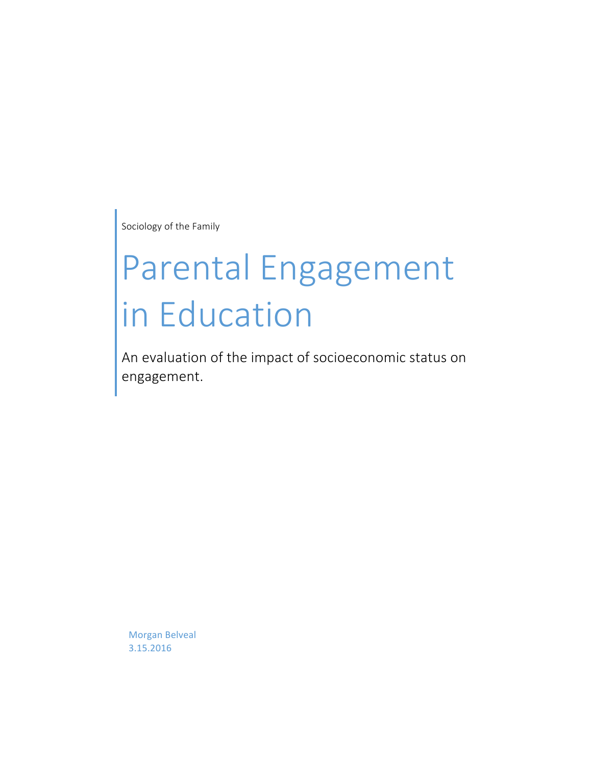Sociology of the Family

# Parental Engagement in Education

An evaluation of the impact of socioeconomic status on engagement.

Morgan Belveal 3.15.2016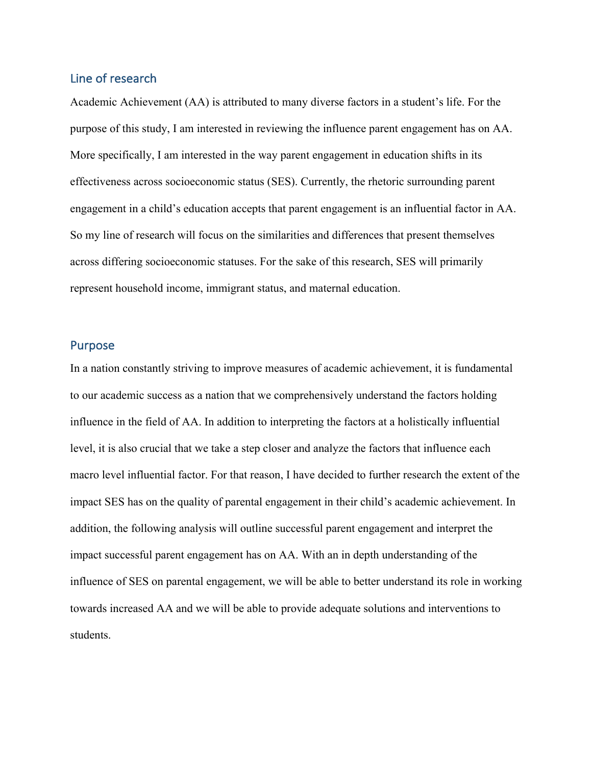# Line of research

Academic Achievement (AA) is attributed to many diverse factors in a student's life. For the purpose of this study, I am interested in reviewing the influence parent engagement has on AA. More specifically, I am interested in the way parent engagement in education shifts in its effectiveness across socioeconomic status (SES). Currently, the rhetoric surrounding parent engagement in a child's education accepts that parent engagement is an influential factor in AA. So my line of research will focus on the similarities and differences that present themselves across differing socioeconomic statuses. For the sake of this research, SES will primarily represent household income, immigrant status, and maternal education.

#### Purpose

In a nation constantly striving to improve measures of academic achievement, it is fundamental to our academic success as a nation that we comprehensively understand the factors holding influence in the field of AA. In addition to interpreting the factors at a holistically influential level, it is also crucial that we take a step closer and analyze the factors that influence each macro level influential factor. For that reason, I have decided to further research the extent of the impact SES has on the quality of parental engagement in their child's academic achievement. In addition, the following analysis will outline successful parent engagement and interpret the impact successful parent engagement has on AA. With an in depth understanding of the influence of SES on parental engagement, we will be able to better understand its role in working towards increased AA and we will be able to provide adequate solutions and interventions to students.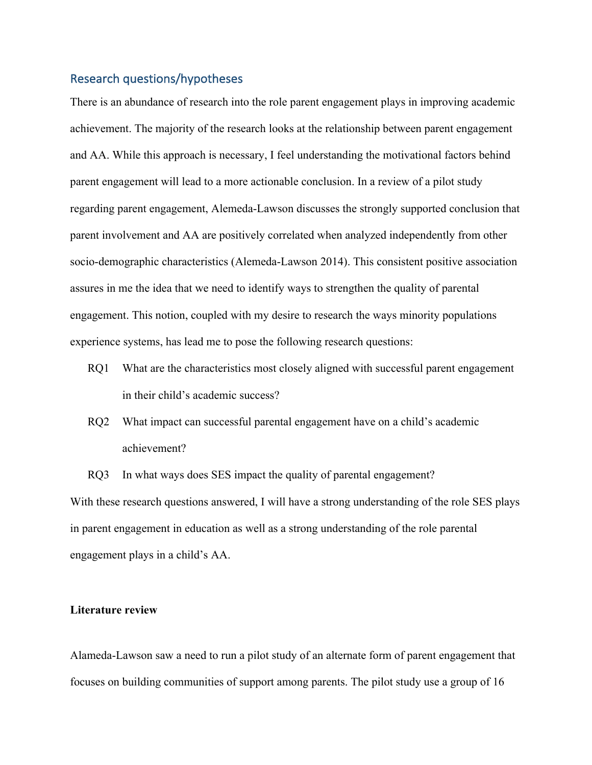# Research questions/hypotheses

There is an abundance of research into the role parent engagement plays in improving academic achievement. The majority of the research looks at the relationship between parent engagement and AA. While this approach is necessary, I feel understanding the motivational factors behind parent engagement will lead to a more actionable conclusion. In a review of a pilot study regarding parent engagement, Alemeda-Lawson discusses the strongly supported conclusion that parent involvement and AA are positively correlated when analyzed independently from other socio-demographic characteristics (Alemeda-Lawson 2014). This consistent positive association assures in me the idea that we need to identify ways to strengthen the quality of parental engagement. This notion, coupled with my desire to research the ways minority populations experience systems, has lead me to pose the following research questions:

- RQ1 What are the characteristics most closely aligned with successful parent engagement in their child's academic success?
- RQ2 What impact can successful parental engagement have on a child's academic achievement?

RQ3 In what ways does SES impact the quality of parental engagement? With these research questions answered, I will have a strong understanding of the role SES plays in parent engagement in education as well as a strong understanding of the role parental engagement plays in a child's AA.

#### **Literature review**

Alameda-Lawson saw a need to run a pilot study of an alternate form of parent engagement that focuses on building communities of support among parents. The pilot study use a group of 16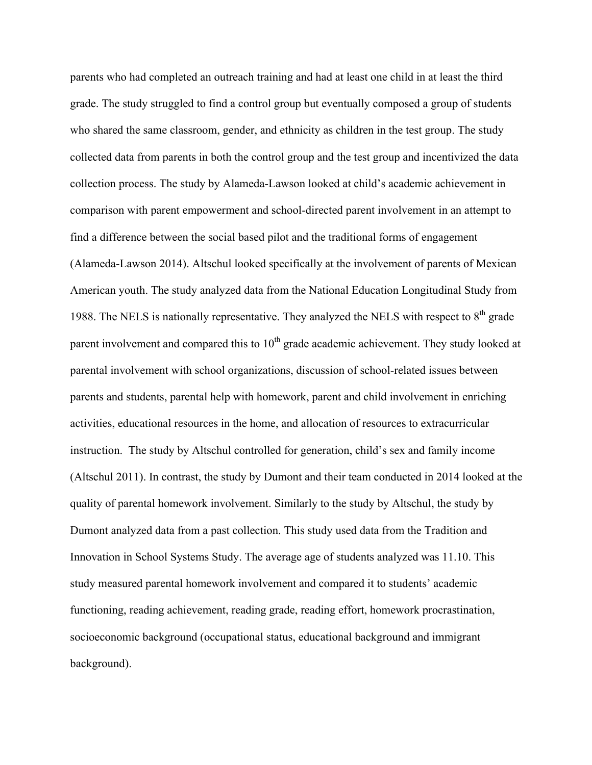parents who had completed an outreach training and had at least one child in at least the third grade. The study struggled to find a control group but eventually composed a group of students who shared the same classroom, gender, and ethnicity as children in the test group. The study collected data from parents in both the control group and the test group and incentivized the data collection process. The study by Alameda-Lawson looked at child's academic achievement in comparison with parent empowerment and school-directed parent involvement in an attempt to find a difference between the social based pilot and the traditional forms of engagement (Alameda-Lawson 2014). Altschul looked specifically at the involvement of parents of Mexican American youth. The study analyzed data from the National Education Longitudinal Study from 1988. The NELS is nationally representative. They analyzed the NELS with respect to  $8<sup>th</sup>$  grade parent involvement and compared this to  $10<sup>th</sup>$  grade academic achievement. They study looked at parental involvement with school organizations, discussion of school-related issues between parents and students, parental help with homework, parent and child involvement in enriching activities, educational resources in the home, and allocation of resources to extracurricular instruction. The study by Altschul controlled for generation, child's sex and family income (Altschul 2011). In contrast, the study by Dumont and their team conducted in 2014 looked at the quality of parental homework involvement. Similarly to the study by Altschul, the study by Dumont analyzed data from a past collection. This study used data from the Tradition and Innovation in School Systems Study. The average age of students analyzed was 11.10. This study measured parental homework involvement and compared it to students' academic functioning, reading achievement, reading grade, reading effort, homework procrastination, socioeconomic background (occupational status, educational background and immigrant background).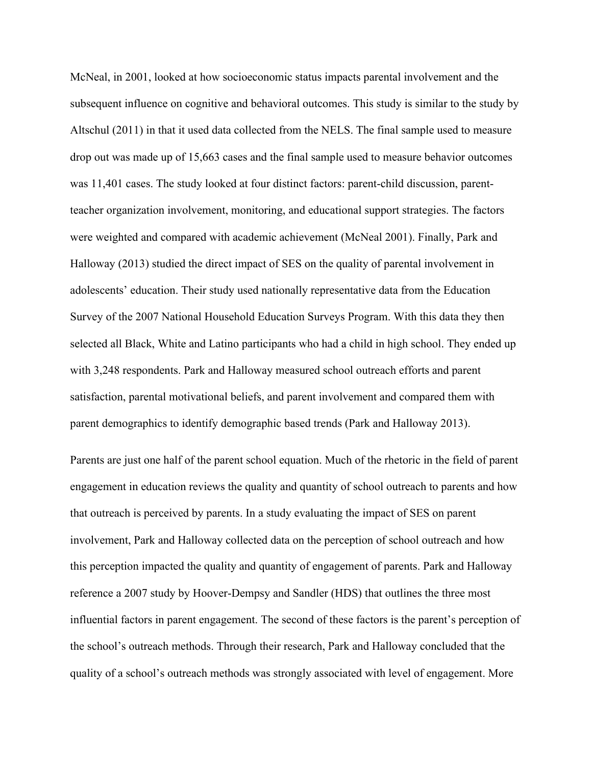McNeal, in 2001, looked at how socioeconomic status impacts parental involvement and the subsequent influence on cognitive and behavioral outcomes. This study is similar to the study by Altschul (2011) in that it used data collected from the NELS. The final sample used to measure drop out was made up of 15,663 cases and the final sample used to measure behavior outcomes was 11,401 cases. The study looked at four distinct factors: parent-child discussion, parentteacher organization involvement, monitoring, and educational support strategies. The factors were weighted and compared with academic achievement (McNeal 2001). Finally, Park and Halloway (2013) studied the direct impact of SES on the quality of parental involvement in adolescents' education. Their study used nationally representative data from the Education Survey of the 2007 National Household Education Surveys Program. With this data they then selected all Black, White and Latino participants who had a child in high school. They ended up with 3,248 respondents. Park and Halloway measured school outreach efforts and parent satisfaction, parental motivational beliefs, and parent involvement and compared them with parent demographics to identify demographic based trends (Park and Halloway 2013).

Parents are just one half of the parent school equation. Much of the rhetoric in the field of parent engagement in education reviews the quality and quantity of school outreach to parents and how that outreach is perceived by parents. In a study evaluating the impact of SES on parent involvement, Park and Halloway collected data on the perception of school outreach and how this perception impacted the quality and quantity of engagement of parents. Park and Halloway reference a 2007 study by Hoover-Dempsy and Sandler (HDS) that outlines the three most influential factors in parent engagement. The second of these factors is the parent's perception of the school's outreach methods. Through their research, Park and Halloway concluded that the quality of a school's outreach methods was strongly associated with level of engagement. More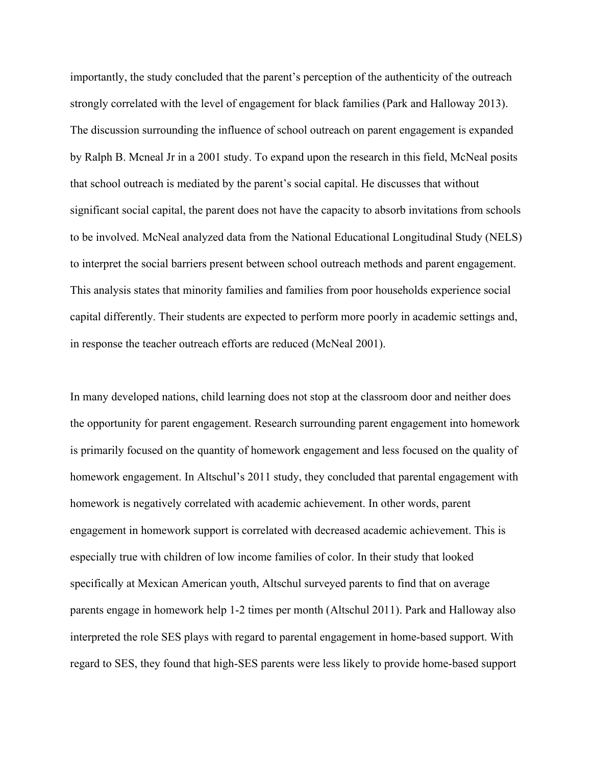importantly, the study concluded that the parent's perception of the authenticity of the outreach strongly correlated with the level of engagement for black families (Park and Halloway 2013). The discussion surrounding the influence of school outreach on parent engagement is expanded by Ralph B. Mcneal Jr in a 2001 study. To expand upon the research in this field, McNeal posits that school outreach is mediated by the parent's social capital. He discusses that without significant social capital, the parent does not have the capacity to absorb invitations from schools to be involved. McNeal analyzed data from the National Educational Longitudinal Study (NELS) to interpret the social barriers present between school outreach methods and parent engagement. This analysis states that minority families and families from poor households experience social capital differently. Their students are expected to perform more poorly in academic settings and, in response the teacher outreach efforts are reduced (McNeal 2001).

In many developed nations, child learning does not stop at the classroom door and neither does the opportunity for parent engagement. Research surrounding parent engagement into homework is primarily focused on the quantity of homework engagement and less focused on the quality of homework engagement. In Altschul's 2011 study, they concluded that parental engagement with homework is negatively correlated with academic achievement. In other words, parent engagement in homework support is correlated with decreased academic achievement. This is especially true with children of low income families of color. In their study that looked specifically at Mexican American youth, Altschul surveyed parents to find that on average parents engage in homework help 1-2 times per month (Altschul 2011). Park and Halloway also interpreted the role SES plays with regard to parental engagement in home-based support. With regard to SES, they found that high-SES parents were less likely to provide home-based support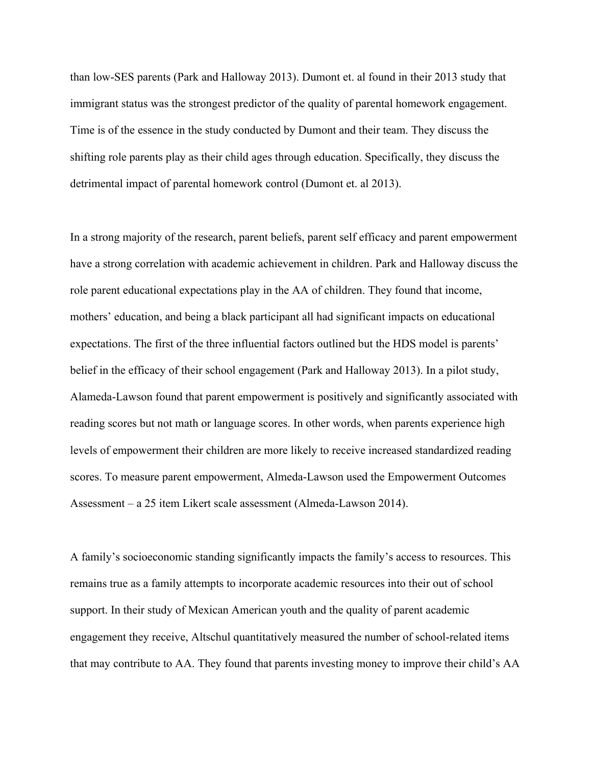than low-SES parents (Park and Halloway 2013). Dumont et. al found in their 2013 study that immigrant status was the strongest predictor of the quality of parental homework engagement. Time is of the essence in the study conducted by Dumont and their team. They discuss the shifting role parents play as their child ages through education. Specifically, they discuss the detrimental impact of parental homework control (Dumont et. al 2013).

In a strong majority of the research, parent beliefs, parent self efficacy and parent empowerment have a strong correlation with academic achievement in children. Park and Halloway discuss the role parent educational expectations play in the AA of children. They found that income, mothers' education, and being a black participant all had significant impacts on educational expectations. The first of the three influential factors outlined but the HDS model is parents' belief in the efficacy of their school engagement (Park and Halloway 2013). In a pilot study, Alameda-Lawson found that parent empowerment is positively and significantly associated with reading scores but not math or language scores. In other words, when parents experience high levels of empowerment their children are more likely to receive increased standardized reading scores. To measure parent empowerment, Almeda-Lawson used the Empowerment Outcomes Assessment – a 25 item Likert scale assessment (Almeda-Lawson 2014).

A family's socioeconomic standing significantly impacts the family's access to resources. This remains true as a family attempts to incorporate academic resources into their out of school support. In their study of Mexican American youth and the quality of parent academic engagement they receive, Altschul quantitatively measured the number of school-related items that may contribute to AA. They found that parents investing money to improve their child's AA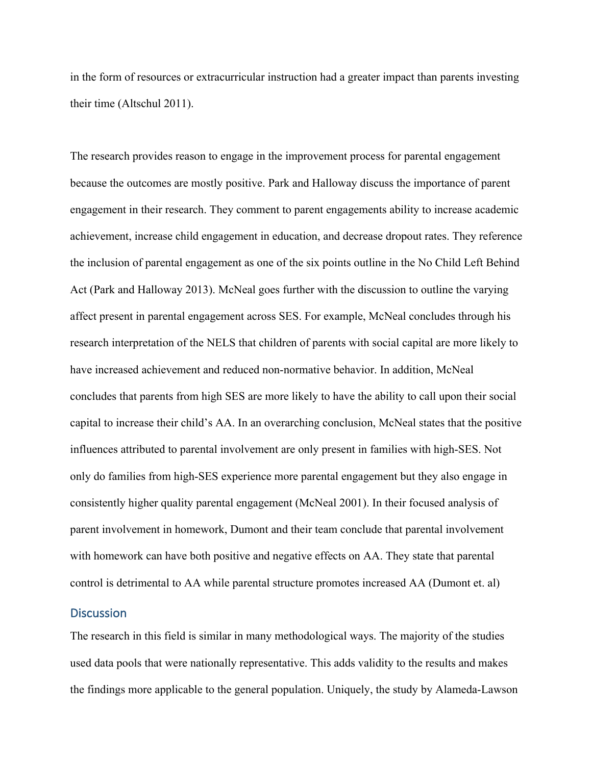in the form of resources or extracurricular instruction had a greater impact than parents investing their time (Altschul 2011).

The research provides reason to engage in the improvement process for parental engagement because the outcomes are mostly positive. Park and Halloway discuss the importance of parent engagement in their research. They comment to parent engagements ability to increase academic achievement, increase child engagement in education, and decrease dropout rates. They reference the inclusion of parental engagement as one of the six points outline in the No Child Left Behind Act (Park and Halloway 2013). McNeal goes further with the discussion to outline the varying affect present in parental engagement across SES. For example, McNeal concludes through his research interpretation of the NELS that children of parents with social capital are more likely to have increased achievement and reduced non-normative behavior. In addition, McNeal concludes that parents from high SES are more likely to have the ability to call upon their social capital to increase their child's AA. In an overarching conclusion, McNeal states that the positive influences attributed to parental involvement are only present in families with high-SES. Not only do families from high-SES experience more parental engagement but they also engage in consistently higher quality parental engagement (McNeal 2001). In their focused analysis of parent involvement in homework, Dumont and their team conclude that parental involvement with homework can have both positive and negative effects on AA. They state that parental control is detrimental to AA while parental structure promotes increased AA (Dumont et. al)

## **Discussion**

The research in this field is similar in many methodological ways. The majority of the studies used data pools that were nationally representative. This adds validity to the results and makes the findings more applicable to the general population. Uniquely, the study by Alameda-Lawson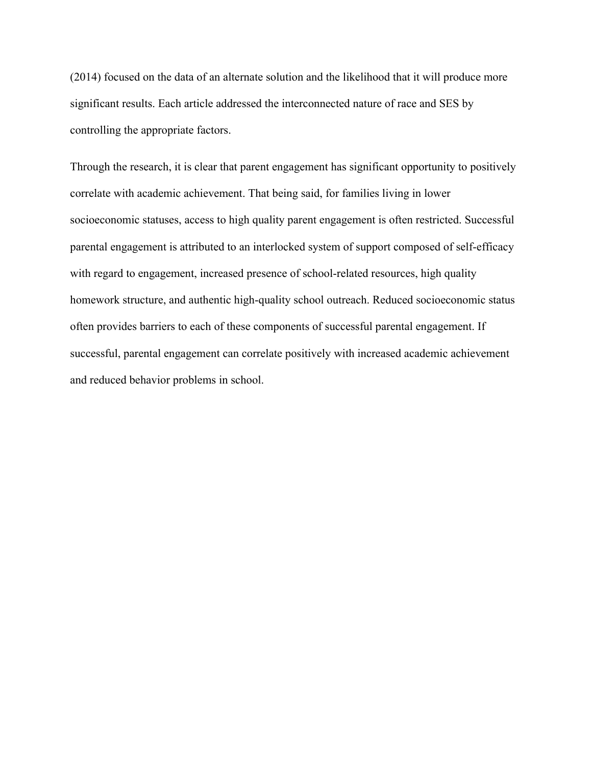(2014) focused on the data of an alternate solution and the likelihood that it will produce more significant results. Each article addressed the interconnected nature of race and SES by controlling the appropriate factors.

Through the research, it is clear that parent engagement has significant opportunity to positively correlate with academic achievement. That being said, for families living in lower socioeconomic statuses, access to high quality parent engagement is often restricted. Successful parental engagement is attributed to an interlocked system of support composed of self-efficacy with regard to engagement, increased presence of school-related resources, high quality homework structure, and authentic high-quality school outreach. Reduced socioeconomic status often provides barriers to each of these components of successful parental engagement. If successful, parental engagement can correlate positively with increased academic achievement and reduced behavior problems in school.